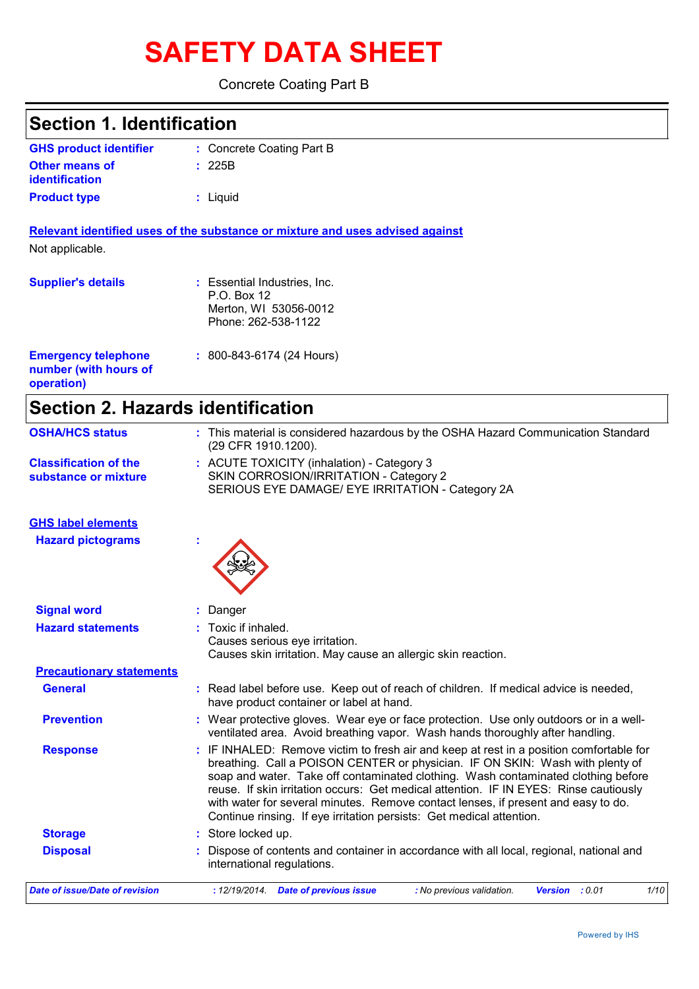# **SAFETY DATA SHEET**

Concrete Coating Part B

| <b>Section 1. Identification</b>                                  |                                                                                                                                                                                                                                                                                                                                                                                                                                                                                                                     |
|-------------------------------------------------------------------|---------------------------------------------------------------------------------------------------------------------------------------------------------------------------------------------------------------------------------------------------------------------------------------------------------------------------------------------------------------------------------------------------------------------------------------------------------------------------------------------------------------------|
| <b>GHS product identifier</b>                                     | : Concrete Coating Part B                                                                                                                                                                                                                                                                                                                                                                                                                                                                                           |
| <b>Other means of</b><br>identification                           | 225B                                                                                                                                                                                                                                                                                                                                                                                                                                                                                                                |
| <b>Product type</b>                                               | : Liquid                                                                                                                                                                                                                                                                                                                                                                                                                                                                                                            |
| Not applicable.                                                   | Relevant identified uses of the substance or mixture and uses advised against                                                                                                                                                                                                                                                                                                                                                                                                                                       |
| <b>Supplier's details</b>                                         | : Essential Industries, Inc.<br>P.O. Box 12<br>Merton, WI 53056-0012<br>Phone: 262-538-1122                                                                                                                                                                                                                                                                                                                                                                                                                         |
| <b>Emergency telephone</b><br>number (with hours of<br>operation) | $: 800 - 843 - 6174$ (24 Hours)                                                                                                                                                                                                                                                                                                                                                                                                                                                                                     |
| <b>Section 2. Hazards identification</b>                          |                                                                                                                                                                                                                                                                                                                                                                                                                                                                                                                     |
| <b>OSHA/HCS status</b>                                            | : This material is considered hazardous by the OSHA Hazard Communication Standard<br>(29 CFR 1910.1200).                                                                                                                                                                                                                                                                                                                                                                                                            |
| <b>Classification of the</b><br>substance or mixture              | : ACUTE TOXICITY (inhalation) - Category 3<br>SKIN CORROSION/IRRITATION - Category 2<br>SERIOUS EYE DAMAGE/ EYE IRRITATION - Category 2A                                                                                                                                                                                                                                                                                                                                                                            |
| <b>GHS label elements</b>                                         |                                                                                                                                                                                                                                                                                                                                                                                                                                                                                                                     |
| <b>Hazard pictograms</b>                                          |                                                                                                                                                                                                                                                                                                                                                                                                                                                                                                                     |
| <b>Signal word</b>                                                | Danger                                                                                                                                                                                                                                                                                                                                                                                                                                                                                                              |
| <b>Hazard statements</b>                                          | : Toxic if inhaled.<br>Causes serious eye irritation.<br>Causes skin irritation. May cause an allergic skin reaction.                                                                                                                                                                                                                                                                                                                                                                                               |
| <b>Precautionary statements</b>                                   |                                                                                                                                                                                                                                                                                                                                                                                                                                                                                                                     |
| <b>General</b>                                                    | : Read label before use. Keep out of reach of children. If medical advice is needed,<br>have product container or label at hand.                                                                                                                                                                                                                                                                                                                                                                                    |
| <b>Prevention</b>                                                 | : Wear protective gloves. Wear eye or face protection. Use only outdoors or in a well-<br>ventilated area. Avoid breathing vapor. Wash hands thoroughly after handling.                                                                                                                                                                                                                                                                                                                                             |
| <b>Response</b>                                                   | : IF INHALED: Remove victim to fresh air and keep at rest in a position comfortable for<br>breathing. Call a POISON CENTER or physician. IF ON SKIN: Wash with plenty of<br>soap and water. Take off contaminated clothing. Wash contaminated clothing before<br>reuse. If skin irritation occurs: Get medical attention. IF IN EYES: Rinse cautiously<br>with water for several minutes. Remove contact lenses, if present and easy to do.<br>Continue rinsing. If eye irritation persists: Get medical attention. |
| <b>Storage</b>                                                    | : Store locked up.                                                                                                                                                                                                                                                                                                                                                                                                                                                                                                  |
| <b>Disposal</b>                                                   | Dispose of contents and container in accordance with all local, regional, national and<br>international regulations.                                                                                                                                                                                                                                                                                                                                                                                                |

*Date of issue/Date of revision* **:** *12/19/2014. Date of previous issue : No previous validation. Version : 0.01 1/10*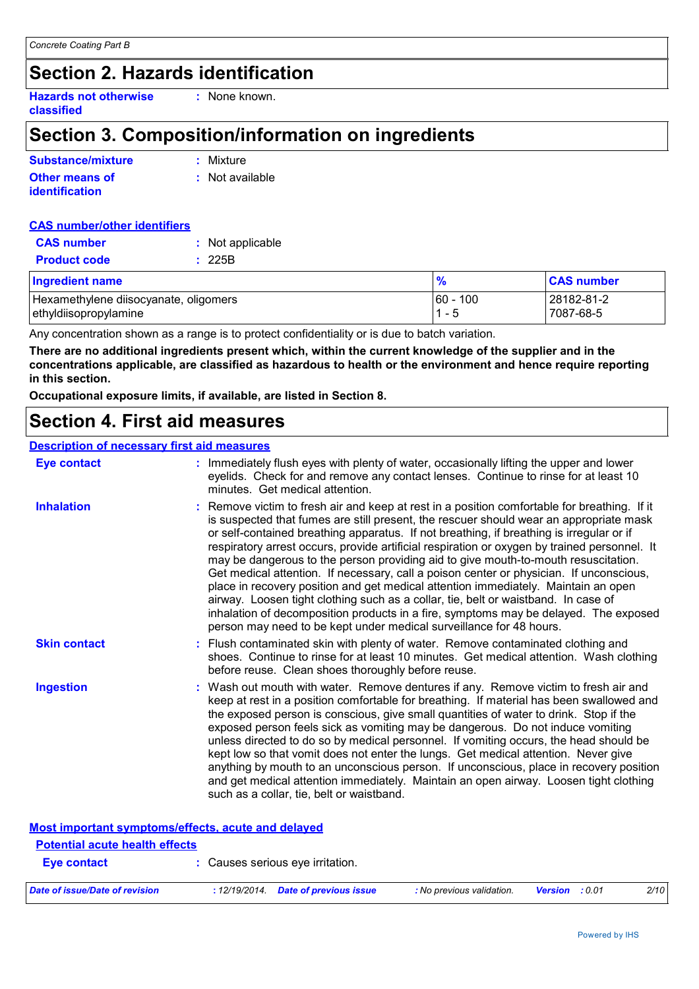# **Section 2. Hazards identification**

**Hazards not otherwise classified :** None known.

# **Section 3. Composition/information on ingredients**

| Substance/mixture     | : Mixture       |
|-----------------------|-----------------|
| <b>Other means of</b> | : Not available |
| <b>identification</b> |                 |

| <b>CAS number/other identifiers</b> |                  |
|-------------------------------------|------------------|
| <b>CAS</b> number                   | : Not applicable |
| <b>Product code</b>                 | : 225B           |

## Hexamethylene diisocyanate, oligomers 60 - 100 28182-81-2 ethyldiisopropylamine 1 - 5 7087-68-5 **Ingredient name % CAS number**

Any concentration shown as a range is to protect confidentiality or is due to batch variation.

**There are no additional ingredients present which, within the current knowledge of the supplier and in the concentrations applicable, are classified as hazardous to health or the environment and hence require reporting in this section.**

**Occupational exposure limits, if available, are listed in Section 8.**

# **Section 4. First aid measures**

## **Description of necessary first aid measures**

| <b>Eye contact</b>  | : Immediately flush eyes with plenty of water, occasionally lifting the upper and lower<br>eyelids. Check for and remove any contact lenses. Continue to rinse for at least 10<br>minutes. Get medical attention.                                                                                                                                                                                                                                                                                                                                                                                                                                                                                                                                                                                                                                                                                              |
|---------------------|----------------------------------------------------------------------------------------------------------------------------------------------------------------------------------------------------------------------------------------------------------------------------------------------------------------------------------------------------------------------------------------------------------------------------------------------------------------------------------------------------------------------------------------------------------------------------------------------------------------------------------------------------------------------------------------------------------------------------------------------------------------------------------------------------------------------------------------------------------------------------------------------------------------|
| <b>Inhalation</b>   | : Remove victim to fresh air and keep at rest in a position comfortable for breathing. If it<br>is suspected that fumes are still present, the rescuer should wear an appropriate mask<br>or self-contained breathing apparatus. If not breathing, if breathing is irregular or if<br>respiratory arrest occurs, provide artificial respiration or oxygen by trained personnel. It<br>may be dangerous to the person providing aid to give mouth-to-mouth resuscitation.<br>Get medical attention. If necessary, call a poison center or physician. If unconscious,<br>place in recovery position and get medical attention immediately. Maintain an open<br>airway. Loosen tight clothing such as a collar, tie, belt or waistband. In case of<br>inhalation of decomposition products in a fire, symptoms may be delayed. The exposed<br>person may need to be kept under medical surveillance for 48 hours. |
| <b>Skin contact</b> | : Flush contaminated skin with plenty of water. Remove contaminated clothing and<br>shoes. Continue to rinse for at least 10 minutes. Get medical attention. Wash clothing<br>before reuse. Clean shoes thoroughly before reuse.                                                                                                                                                                                                                                                                                                                                                                                                                                                                                                                                                                                                                                                                               |
| <b>Ingestion</b>    | : Wash out mouth with water. Remove dentures if any. Remove victim to fresh air and<br>keep at rest in a position comfortable for breathing. If material has been swallowed and<br>the exposed person is conscious, give small quantities of water to drink. Stop if the<br>exposed person feels sick as vomiting may be dangerous. Do not induce vomiting<br>unless directed to do so by medical personnel. If vomiting occurs, the head should be<br>kept low so that vomit does not enter the lungs. Get medical attention. Never give<br>anything by mouth to an unconscious person. If unconscious, place in recovery position<br>and get medical attention immediately. Maintain an open airway. Loosen tight clothing<br>such as a collar, tie, belt or waistband.                                                                                                                                      |

|                                       | Most important symptoms/effects, acute and delayed |                           |                       |      |
|---------------------------------------|----------------------------------------------------|---------------------------|-----------------------|------|
| <b>Potential acute health effects</b> |                                                    |                           |                       |      |
| Eye contact                           | : Causes serious eye irritation.                   |                           |                       |      |
| Date of issue/Date of revision        | : 12/19/2014. Date of previous issue               | : No previous validation. | <b>Version</b> : 0.01 | 2/10 |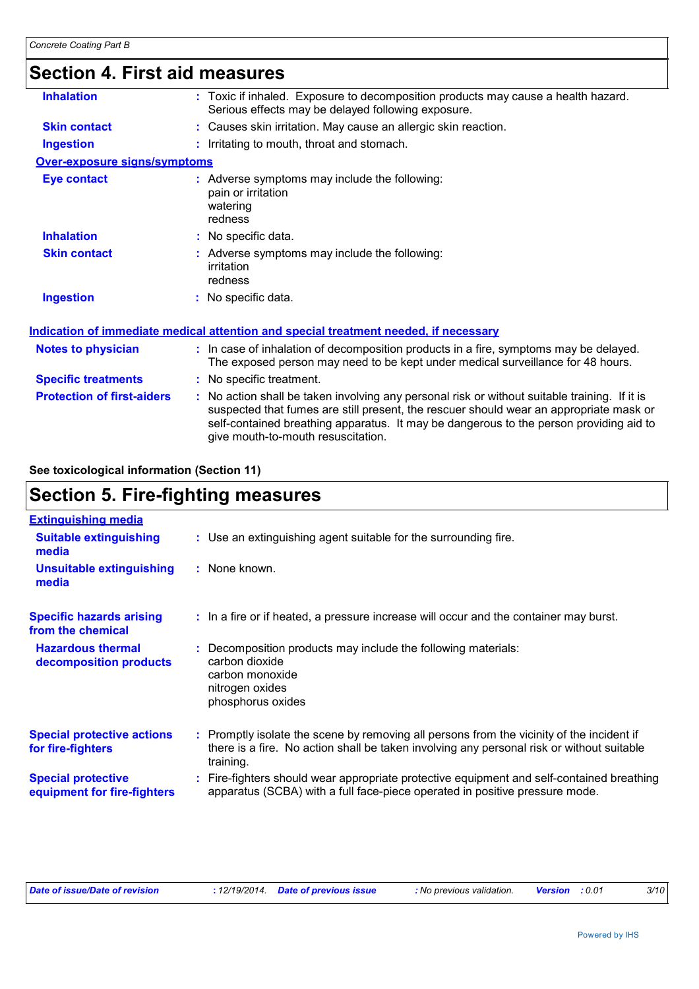## **Section 4. First aid measures Protection of first-aiders :** No action shall be taken involving any personal risk or without suitable training. If it is suspected that fumes are still present, the rescuer should wear an appropriate mask or self-contained breathing apparatus. It may be dangerous to the person providing aid to give mouth-to-mouth resuscitation. **Notes to physician <b>:** In case of inhalation of decomposition products in a fire, symptoms may be delayed. The exposed person may need to be kept under medical surveillance for 48 hours. **Specific treatments :** No specific treatment. **Inhalation :** Toxic if inhaled. Exposure to decomposition products may cause a health hazard. Serious effects may be delayed following exposure. **Ingestion :** Irritating to mouth, throat and stomach. **Skin contact :** Causes skin irritation. May cause an allergic skin reaction. **Over-exposure signs/symptoms Skin contact Ingestion Inhalation :** No specific data. No specific data. **:** Adverse symptoms may include the following: **:** irritation redness **Eye contact :** Adverse symptoms may include the following: pain or irritation watering redness **Indication of immediate medical attention and special treatment needed, if necessary**

## **See toxicological information (Section 11)**

# **Section 5. Fire-fighting measures**

| <b>Extinguishing media</b>                               |                                                                                                                                                                                                     |
|----------------------------------------------------------|-----------------------------------------------------------------------------------------------------------------------------------------------------------------------------------------------------|
| <b>Suitable extinguishing</b><br>media                   | : Use an extinguishing agent suitable for the surrounding fire.                                                                                                                                     |
| Unsuitable extinguishing<br>media                        | : None known.                                                                                                                                                                                       |
| <b>Specific hazards arising</b><br>from the chemical     | : In a fire or if heated, a pressure increase will occur and the container may burst.                                                                                                               |
| <b>Hazardous thermal</b><br>decomposition products       | : Decomposition products may include the following materials:<br>carbon dioxide<br>carbon monoxide<br>nitrogen oxides<br>phosphorus oxides                                                          |
| <b>Special protective actions</b><br>for fire-fighters   | : Promptly isolate the scene by removing all persons from the vicinity of the incident if<br>there is a fire. No action shall be taken involving any personal risk or without suitable<br>training. |
| <b>Special protective</b><br>equipment for fire-fighters | : Fire-fighters should wear appropriate protective equipment and self-contained breathing<br>apparatus (SCBA) with a full face-piece operated in positive pressure mode.                            |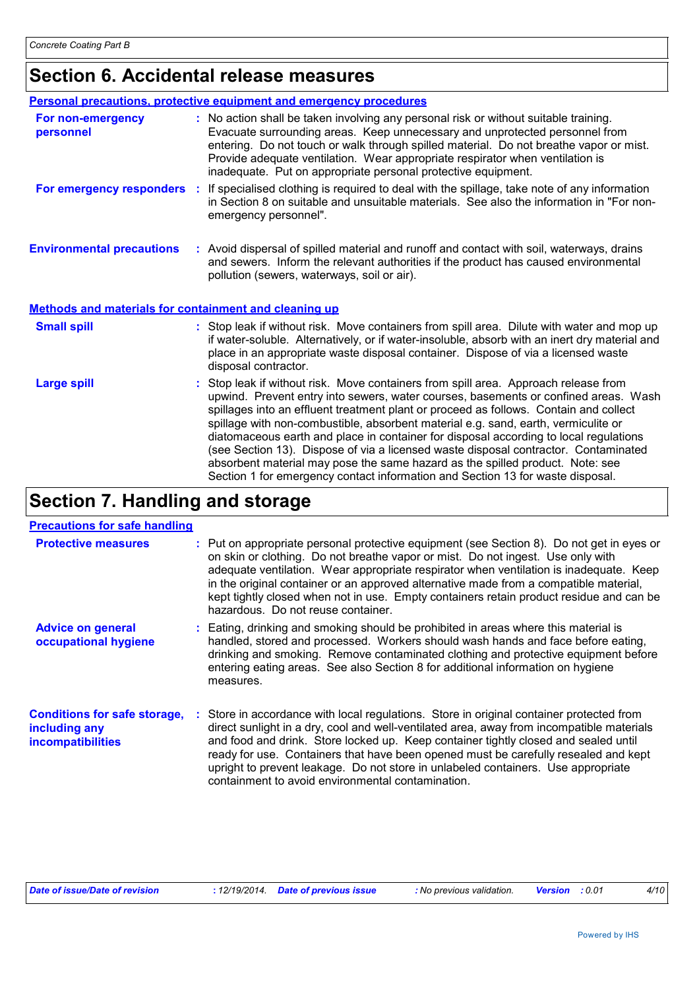# **Section 6. Accidental release measures**

|                                                              | <b>Personal precautions, protective equipment and emergency procedures</b>                                                                                                                                                                                                                                                                                                                                                                                                                                                                                                                                                                                                                                   |
|--------------------------------------------------------------|--------------------------------------------------------------------------------------------------------------------------------------------------------------------------------------------------------------------------------------------------------------------------------------------------------------------------------------------------------------------------------------------------------------------------------------------------------------------------------------------------------------------------------------------------------------------------------------------------------------------------------------------------------------------------------------------------------------|
| For non-emergency<br>personnel                               | : No action shall be taken involving any personal risk or without suitable training.<br>Evacuate surrounding areas. Keep unnecessary and unprotected personnel from<br>entering. Do not touch or walk through spilled material. Do not breathe vapor or mist.<br>Provide adequate ventilation. Wear appropriate respirator when ventilation is<br>inadequate. Put on appropriate personal protective equipment.                                                                                                                                                                                                                                                                                              |
|                                                              | For emergency responders : If specialised clothing is required to deal with the spillage, take note of any information<br>in Section 8 on suitable and unsuitable materials. See also the information in "For non-<br>emergency personnel".                                                                                                                                                                                                                                                                                                                                                                                                                                                                  |
| <b>Environmental precautions</b>                             | : Avoid dispersal of spilled material and runoff and contact with soil, waterways, drains<br>and sewers. Inform the relevant authorities if the product has caused environmental<br>pollution (sewers, waterways, soil or air).                                                                                                                                                                                                                                                                                                                                                                                                                                                                              |
| <b>Methods and materials for containment and cleaning up</b> |                                                                                                                                                                                                                                                                                                                                                                                                                                                                                                                                                                                                                                                                                                              |
| <b>Small spill</b>                                           | : Stop leak if without risk. Move containers from spill area. Dilute with water and mop up<br>if water-soluble. Alternatively, or if water-insoluble, absorb with an inert dry material and<br>place in an appropriate waste disposal container. Dispose of via a licensed waste<br>disposal contractor.                                                                                                                                                                                                                                                                                                                                                                                                     |
| <b>Large spill</b>                                           | : Stop leak if without risk. Move containers from spill area. Approach release from<br>upwind. Prevent entry into sewers, water courses, basements or confined areas. Wash<br>spillages into an effluent treatment plant or proceed as follows. Contain and collect<br>spillage with non-combustible, absorbent material e.g. sand, earth, vermiculite or<br>diatomaceous earth and place in container for disposal according to local regulations<br>(see Section 13). Dispose of via a licensed waste disposal contractor. Contaminated<br>absorbent material may pose the same hazard as the spilled product. Note: see<br>Section 1 for emergency contact information and Section 13 for waste disposal. |

# **Section 7. Handling and storage**

## **Precautions for safe handling**

| <b>Protective measures</b>                                                       | : Put on appropriate personal protective equipment (see Section 8). Do not get in eyes or<br>on skin or clothing. Do not breathe vapor or mist. Do not ingest. Use only with<br>adequate ventilation. Wear appropriate respirator when ventilation is inadequate. Keep<br>in the original container or an approved alternative made from a compatible material,<br>kept tightly closed when not in use. Empty containers retain product residue and can be<br>hazardous. Do not reuse container.              |
|----------------------------------------------------------------------------------|---------------------------------------------------------------------------------------------------------------------------------------------------------------------------------------------------------------------------------------------------------------------------------------------------------------------------------------------------------------------------------------------------------------------------------------------------------------------------------------------------------------|
| <b>Advice on general</b><br>occupational hygiene                                 | : Eating, drinking and smoking should be prohibited in areas where this material is<br>handled, stored and processed. Workers should wash hands and face before eating,<br>drinking and smoking. Remove contaminated clothing and protective equipment before<br>entering eating areas. See also Section 8 for additional information on hygiene<br>measures.                                                                                                                                                 |
| <b>Conditions for safe storage,</b><br>including any<br><b>incompatibilities</b> | : Store in accordance with local regulations. Store in original container protected from<br>direct sunlight in a dry, cool and well-ventilated area, away from incompatible materials<br>and food and drink. Store locked up. Keep container tightly closed and sealed until<br>ready for use. Containers that have been opened must be carefully resealed and kept<br>upright to prevent leakage. Do not store in unlabeled containers. Use appropriate<br>containment to avoid environmental contamination. |

|  | Date of issue/Date of revision |  | : 12/19/2014. Date of previous issue | : No previous validation. | <b>Version</b> : 0.01 |  | 4/10 |
|--|--------------------------------|--|--------------------------------------|---------------------------|-----------------------|--|------|
|--|--------------------------------|--|--------------------------------------|---------------------------|-----------------------|--|------|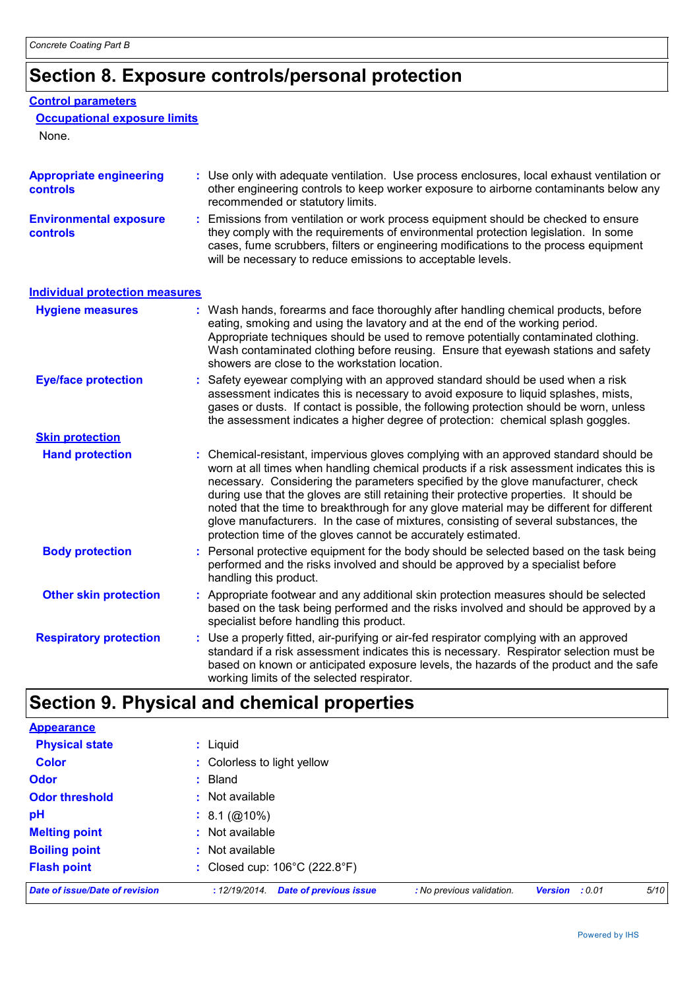# **Section 8. Exposure controls/personal protection**

## **Control parameters**

## **Occupational exposure limits**

None.

| <b>Appropriate engineering</b><br>controls | : Use only with adequate ventilation. Use process enclosures, local exhaust ventilation or<br>other engineering controls to keep worker exposure to airborne contaminants below any<br>recommended or statutory limits.                                                                                                                                                                                                                                                                                                                                                                                                |
|--------------------------------------------|------------------------------------------------------------------------------------------------------------------------------------------------------------------------------------------------------------------------------------------------------------------------------------------------------------------------------------------------------------------------------------------------------------------------------------------------------------------------------------------------------------------------------------------------------------------------------------------------------------------------|
| <b>Environmental exposure</b><br>controls  | : Emissions from ventilation or work process equipment should be checked to ensure<br>they comply with the requirements of environmental protection legislation. In some<br>cases, fume scrubbers, filters or engineering modifications to the process equipment<br>will be necessary to reduce emissions to acceptable levels.                                                                                                                                                                                                                                                                                        |
| <b>Individual protection measures</b>      |                                                                                                                                                                                                                                                                                                                                                                                                                                                                                                                                                                                                                        |
| <b>Hygiene measures</b>                    | : Wash hands, forearms and face thoroughly after handling chemical products, before<br>eating, smoking and using the lavatory and at the end of the working period.<br>Appropriate techniques should be used to remove potentially contaminated clothing.<br>Wash contaminated clothing before reusing. Ensure that eyewash stations and safety<br>showers are close to the workstation location.                                                                                                                                                                                                                      |
| <b>Eye/face protection</b>                 | : Safety eyewear complying with an approved standard should be used when a risk<br>assessment indicates this is necessary to avoid exposure to liquid splashes, mists,<br>gases or dusts. If contact is possible, the following protection should be worn, unless<br>the assessment indicates a higher degree of protection: chemical splash goggles.                                                                                                                                                                                                                                                                  |
| <b>Skin protection</b>                     |                                                                                                                                                                                                                                                                                                                                                                                                                                                                                                                                                                                                                        |
| <b>Hand protection</b>                     | : Chemical-resistant, impervious gloves complying with an approved standard should be<br>worn at all times when handling chemical products if a risk assessment indicates this is<br>necessary. Considering the parameters specified by the glove manufacturer, check<br>during use that the gloves are still retaining their protective properties. It should be<br>noted that the time to breakthrough for any glove material may be different for different<br>glove manufacturers. In the case of mixtures, consisting of several substances, the<br>protection time of the gloves cannot be accurately estimated. |
| <b>Body protection</b>                     | : Personal protective equipment for the body should be selected based on the task being<br>performed and the risks involved and should be approved by a specialist before<br>handling this product.                                                                                                                                                                                                                                                                                                                                                                                                                    |
| <b>Other skin protection</b>               | : Appropriate footwear and any additional skin protection measures should be selected<br>based on the task being performed and the risks involved and should be approved by a<br>specialist before handling this product.                                                                                                                                                                                                                                                                                                                                                                                              |
| <b>Respiratory protection</b>              | : Use a properly fitted, air-purifying or air-fed respirator complying with an approved<br>standard if a risk assessment indicates this is necessary. Respirator selection must be<br>based on known or anticipated exposure levels, the hazards of the product and the safe<br>working limits of the selected respirator.                                                                                                                                                                                                                                                                                             |

# **Section 9. Physical and chemical properties**

| Date of issue/Date of revision | 5/10<br><b>Date of previous issue</b><br>: No previous validation.<br>: 12/19/2014.<br><b>Version</b><br>: 0.01 |
|--------------------------------|-----------------------------------------------------------------------------------------------------------------|
| <b>Flash point</b>             | : Closed cup: 106°C (222.8°F)                                                                                   |
| <b>Boiling point</b>           | : Not available                                                                                                 |
| <b>Melting point</b>           | : Not available                                                                                                 |
| pH                             | $: 8.1 \, (\textcircled{a}10\%)$                                                                                |
| <b>Odor threshold</b>          | : Not available                                                                                                 |
| <b>Odor</b>                    | $:$ Bland                                                                                                       |
| <b>Color</b>                   | : Colorless to light yellow                                                                                     |
| <b>Physical state</b>          | : Liquid                                                                                                        |
| <b>Appearance</b>              |                                                                                                                 |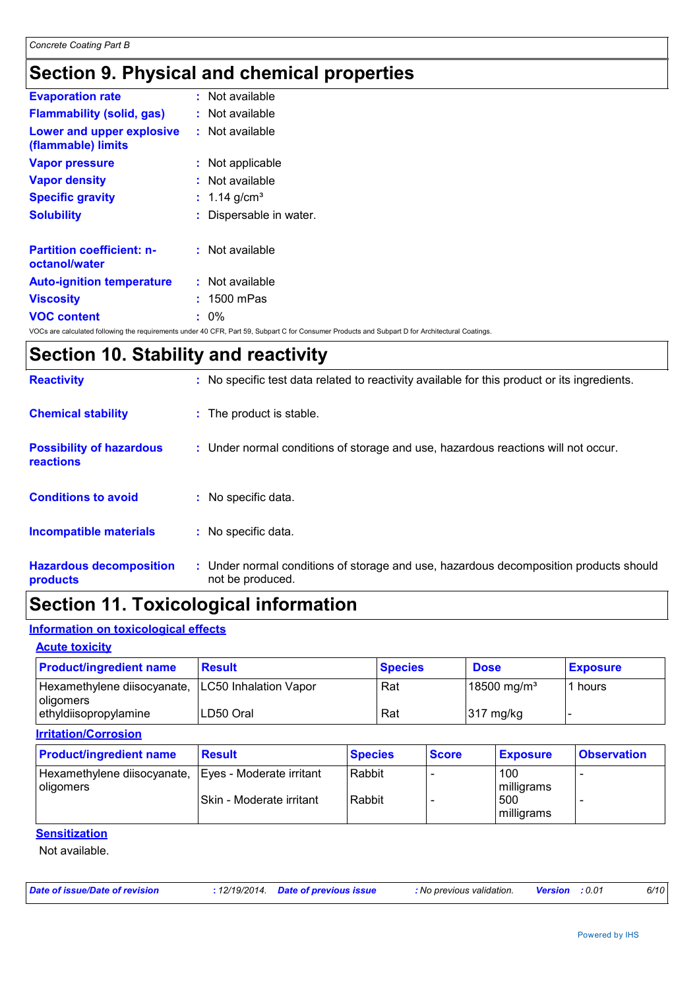# **Section 9. Physical and chemical properties**

| <b>Evaporation rate</b>                           | $:$ Not available                                                                                                                               |
|---------------------------------------------------|-------------------------------------------------------------------------------------------------------------------------------------------------|
| <b>Flammability (solid, gas)</b>                  | : Not available                                                                                                                                 |
| Lower and upper explosive<br>(flammable) limits   | : Not available                                                                                                                                 |
| <b>Vapor pressure</b>                             | : Not applicable                                                                                                                                |
| <b>Vapor density</b>                              | : Not available                                                                                                                                 |
| <b>Specific gravity</b>                           | : 1.14 $g/cm^{3}$                                                                                                                               |
| <b>Solubility</b>                                 | Dispersable in water.                                                                                                                           |
| <b>Partition coefficient: n-</b><br>octanol/water | : Not available                                                                                                                                 |
| <b>Auto-ignition temperature</b>                  | : Not available                                                                                                                                 |
| <b>Viscosity</b>                                  | $: 1500$ mPas                                                                                                                                   |
| <b>VOC content</b>                                | $: 0\%$                                                                                                                                         |
|                                                   | VOCs are calculated following the requirements under 40 CFR, Part 59, Subpart C for Consumer Products and Subpart D for Architectural Coatings. |

# **Section 10. Stability and reactivity**

| <b>Reactivity</b>                                   |    | : No specific test data related to reactivity available for this product or its ingredients.              |
|-----------------------------------------------------|----|-----------------------------------------------------------------------------------------------------------|
| <b>Chemical stability</b>                           |    | : The product is stable.                                                                                  |
| <b>Possibility of hazardous</b><br><b>reactions</b> |    | : Under normal conditions of storage and use, hazardous reactions will not occur.                         |
| <b>Conditions to avoid</b>                          |    | : No specific data.                                                                                       |
| <b>Incompatible materials</b>                       | ÷. | No specific data.                                                                                         |
| <b>Hazardous decomposition</b><br>products          |    | : Under normal conditions of storage and use, hazardous decomposition products should<br>not be produced. |

# **Section 11. Toxicological information**

## **Information on toxicological effects**

| <b>Acute toxicity</b>                                            |               |                |                         |                 |
|------------------------------------------------------------------|---------------|----------------|-------------------------|-----------------|
| <b>Product/ingredient name</b>                                   | <b>Result</b> | <b>Species</b> | <b>Dose</b>             | <b>Exposure</b> |
| Hexamethylene diisocyanate,   LC50 Inhalation Vapor<br>oligomers |               | Rat            | 18500 mg/m <sup>3</sup> | 1 hours         |
| ethyldiisopropylamine                                            | LD50 Oral     | Rat            | $317 \text{ mg/kg}$     |                 |

| <b>Irritation/Corrosion</b>                                       |                           |                |              |                   |                    |
|-------------------------------------------------------------------|---------------------------|----------------|--------------|-------------------|--------------------|
| <b>Product/ingredient name</b>                                    | <b>Result</b>             | <b>Species</b> | <b>Score</b> | <b>Exposure</b>   | <b>Observation</b> |
| Hexamethylene diisocyanate, Eyes - Moderate irritant<br>oligomers |                           | Rabbit         |              | 100<br>milligrams | -                  |
|                                                                   | ISkin - Moderate irritant | Rabbit         |              | 500<br>milligrams |                    |

## **Sensitization**

Not available.

| Date of issue/Date of revision |  | : 12/19/2014 Date of previous issue | : No previous validation. | 0.01 <b>Version</b> | 6/10 |
|--------------------------------|--|-------------------------------------|---------------------------|---------------------|------|
|--------------------------------|--|-------------------------------------|---------------------------|---------------------|------|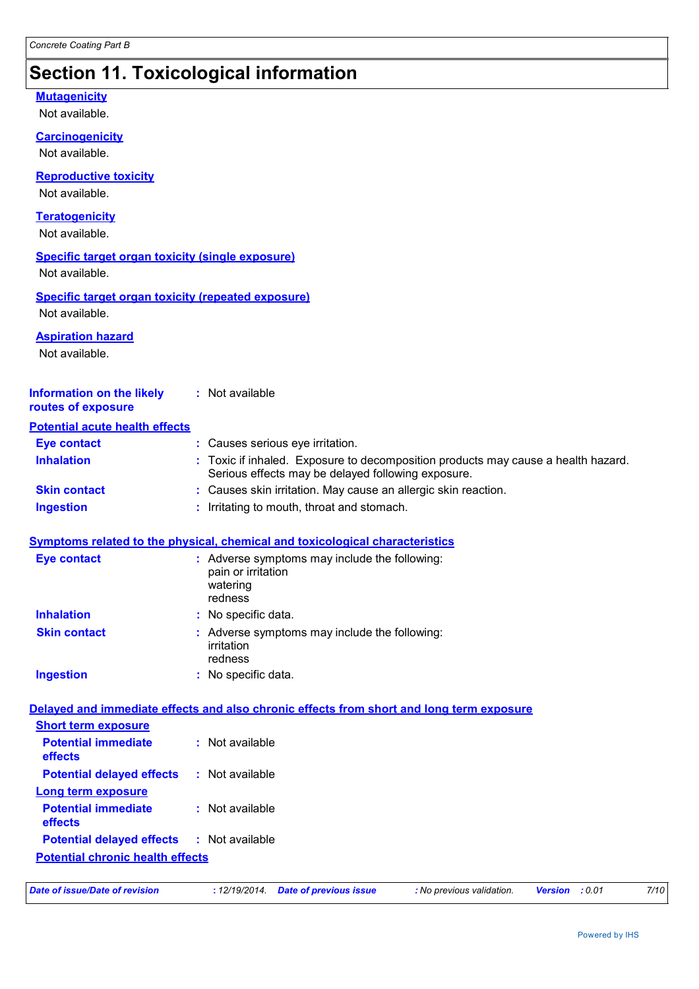# **Section 11. Toxicological information**

## **Mutagenicity**

Not available.

**Carcinogenicity**

Not available.

## **Reproductive toxicity**

Not available.

## **Teratogenicity**

Not available.

## **Specific target organ toxicity (single exposure)**

Not available.

### **Specific target organ toxicity (repeated exposure)** Not available.

**Aspiration hazard**

Not available.

| <b>Information on the likely</b><br>routes of exposure | : Not available                                                                                                                         |
|--------------------------------------------------------|-----------------------------------------------------------------------------------------------------------------------------------------|
| <b>Potential acute health effects</b>                  |                                                                                                                                         |
| <b>Eye contact</b>                                     | : Causes serious eye irritation.                                                                                                        |
| <b>Inhalation</b>                                      | : Toxic if inhaled. Exposure to decomposition products may cause a health hazard.<br>Serious effects may be delayed following exposure. |
| <b>Skin contact</b>                                    | : Causes skin irritation. May cause an allergic skin reaction.                                                                          |
| <b>Ingestion</b>                                       | : Irritating to mouth, throat and stomach.                                                                                              |
|                                                        | <b>Symptoms related to the physical, chemical and toxicological characteristics</b>                                                     |
| <b>Eye contact</b>                                     | : Adverse symptoms may include the following:<br>pain or irritation<br>watering<br>redness                                              |
| <b>Inhalation</b>                                      | : No specific data.                                                                                                                     |
| <b>Skin contact</b>                                    | : Adverse symptoms may include the following:<br>irritation<br>redness                                                                  |
| <b>Ingestion</b>                                       | : No specific data.                                                                                                                     |
|                                                        | Delayed and immediate effects and also chronic effects from short and long term exposure                                                |
| <b>Short term exposure</b>                             |                                                                                                                                         |
| <b>Potential immediate</b><br>effects                  | : Not available                                                                                                                         |
| <b>Potential delayed effects</b>                       | : Not available                                                                                                                         |
| <b>Long term exposure</b>                              |                                                                                                                                         |
| <b>Potential immediate</b><br>effects                  | : Not available                                                                                                                         |
| <b>Potential delayed effects</b>                       | : Not available                                                                                                                         |
| <b>Potential chronic health effects</b>                |                                                                                                                                         |
|                                                        |                                                                                                                                         |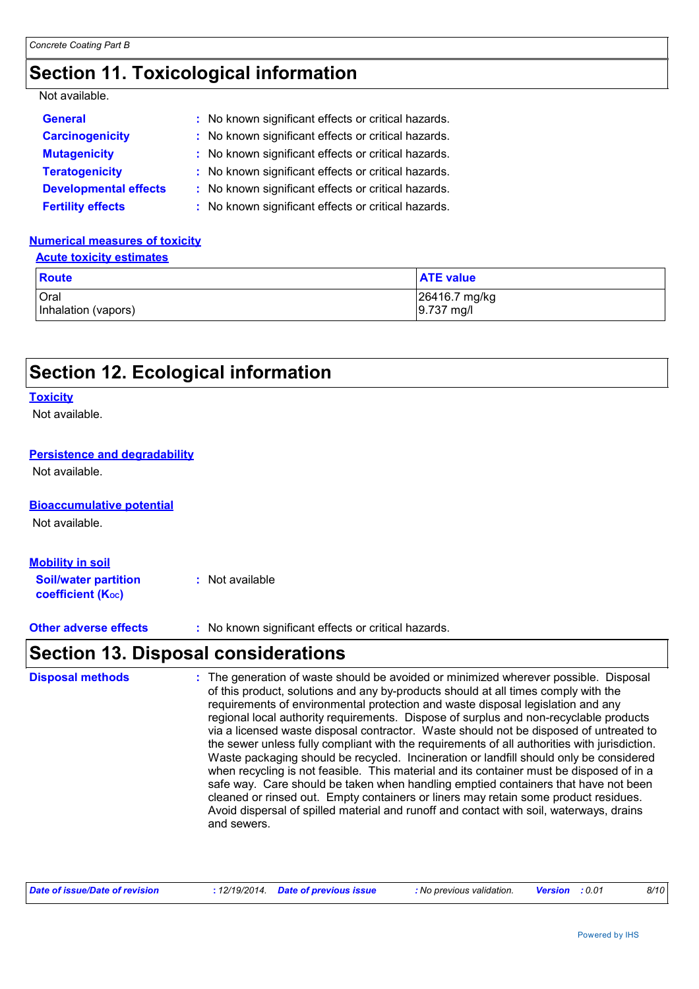# **Section 11. Toxicological information**

## Not available.

| <b>General</b>               | : No known significant effects or critical hazards. |
|------------------------------|-----------------------------------------------------|
| <b>Carcinogenicity</b>       | : No known significant effects or critical hazards. |
| <b>Mutagenicity</b>          | : No known significant effects or critical hazards. |
| <b>Teratogenicity</b>        | : No known significant effects or critical hazards. |
| <b>Developmental effects</b> | : No known significant effects or critical hazards. |
| <b>Fertility effects</b>     | : No known significant effects or critical hazards. |

## **Numerical measures of toxicity**

|--|

| Route               | <b>ATE value</b> |
|---------------------|------------------|
| <b>Oral</b>         | 26416.7 mg/kg    |
| Inhalation (vapors) | $9.737$ mg/l     |

# **Section 12. Ecological information**

#### **Toxicity**

Not available.

## **Persistence and degradability**

Not available.

#### **Bioaccumulative potential**

Not available.

## **Mobility in soil**

**Soil/water partition coefficient (KOC) :** Not available

**Other adverse effects** : No known significant effects or critical hazards.

# **Section 13. Disposal considerations**

| <b>Disposal methods</b> | : The generation of waste should be avoided or minimized wherever possible. Disposal<br>of this product, solutions and any by-products should at all times comply with the<br>requirements of environmental protection and waste disposal legislation and any<br>regional local authority requirements. Dispose of surplus and non-recyclable products<br>via a licensed waste disposal contractor. Waste should not be disposed of untreated to<br>the sewer unless fully compliant with the requirements of all authorities with jurisdiction.<br>Waste packaging should be recycled. Incineration or landfill should only be considered<br>when recycling is not feasible. This material and its container must be disposed of in a<br>safe way. Care should be taken when handling emptied containers that have not been<br>cleaned or rinsed out. Empty containers or liners may retain some product residues.<br>Avoid dispersal of spilled material and runoff and contact with soil, waterways, drains<br>and sewers. |
|-------------------------|-------------------------------------------------------------------------------------------------------------------------------------------------------------------------------------------------------------------------------------------------------------------------------------------------------------------------------------------------------------------------------------------------------------------------------------------------------------------------------------------------------------------------------------------------------------------------------------------------------------------------------------------------------------------------------------------------------------------------------------------------------------------------------------------------------------------------------------------------------------------------------------------------------------------------------------------------------------------------------------------------------------------------------|
|-------------------------|-------------------------------------------------------------------------------------------------------------------------------------------------------------------------------------------------------------------------------------------------------------------------------------------------------------------------------------------------------------------------------------------------------------------------------------------------------------------------------------------------------------------------------------------------------------------------------------------------------------------------------------------------------------------------------------------------------------------------------------------------------------------------------------------------------------------------------------------------------------------------------------------------------------------------------------------------------------------------------------------------------------------------------|

| Date of issue/Date of revision | : 12/19/2014 Date of previous issue | : No previous validation. | <b>Version</b> : 0.01 |  | 8/10 |
|--------------------------------|-------------------------------------|---------------------------|-----------------------|--|------|
|--------------------------------|-------------------------------------|---------------------------|-----------------------|--|------|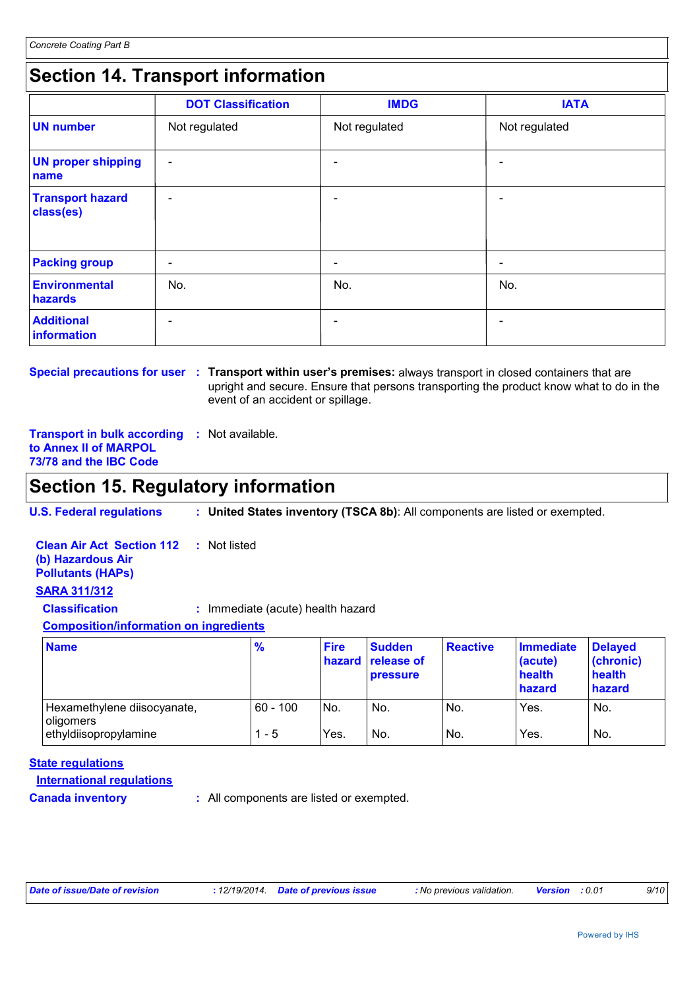# **Section 14. Transport information**

|                                      | <b>DOT Classification</b> | <b>IMDG</b>   | <b>IATA</b>              |
|--------------------------------------|---------------------------|---------------|--------------------------|
| <b>UN number</b>                     | Not regulated             | Not regulated | Not regulated            |
| <b>UN proper shipping</b><br>name    | $\overline{\phantom{a}}$  |               |                          |
| <b>Transport hazard</b><br>class(es) | $\overline{\phantom{a}}$  |               |                          |
| <b>Packing group</b>                 | $\overline{\phantom{a}}$  |               | $\overline{\phantom{0}}$ |
| <b>Environmental</b><br>hazards      | No.                       | No.           | No.                      |
| <b>Additional</b><br>information     | $\overline{\phantom{0}}$  |               |                          |

**Special precautions for user : Transport within user's premises: always transport in closed containers that are** upright and secure. Ensure that persons transporting the product know what to do in the event of an accident or spillage.

**Transport in bulk according :** Not available. **to Annex II of MARPOL 73/78 and the IBC Code**

## **Section 15. Regulatory information**

**U.S. Federal regulations : United States inventory (TSCA 8b)**: All components are listed or exempted.

| <b>SARA 311/312</b><br><b>Classification</b><br><b>Composition/information on ingredients</b> | : Immediate (acute) health hazard |                                  |
|-----------------------------------------------------------------------------------------------|-----------------------------------|----------------------------------|
| <b>Name</b>                                                                                   | %                                 | Fire Sudden<br>hazard release of |

| <b>Name</b>                              | $\frac{9}{6}$ | <b>Fire</b> | <b>Sudden</b><br>hazard release of<br><b>pressure</b> | Reactive | <b>Immediate</b><br>(acute)<br>health<br>hazard | <b>Delayed</b><br>(chronic)<br>health<br>hazard |
|------------------------------------------|---------------|-------------|-------------------------------------------------------|----------|-------------------------------------------------|-------------------------------------------------|
| Hexamethylene diisocyanate,<br>oligomers | $60 - 100$    | INo.        | No.                                                   | No.      | Yes.                                            | No.                                             |
| ethyldiisopropylamine                    | - 5           | Yes.        | No.                                                   | No.      | Yes.                                            | No.                                             |

#### **State regulations**

**International regulations**

**Canada inventory :** All components are listed or exempted.